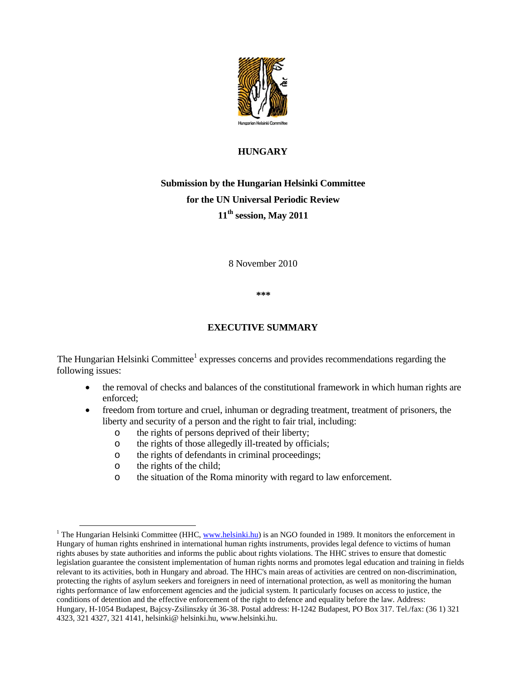

## **HUNGARY**

# **Submission by the Hungarian Helsinki Committee for the UN Universal Periodic Review 11th session, May 2011**

8 November 2010

**\*\*\*** 

## **EXECUTIVE SUMMARY**

The Hungarian Helsinki Committee<sup>1</sup> expresses concerns and provides recommendations regarding the following issues:

- the removal of checks and balances of the constitutional framework in which human rights are enforced;
- freedom from torture and cruel, inhuman or degrading treatment, treatment of prisoners, the liberty and security of a person and the right to fair trial, including:
	- o the rights of persons deprived of their liberty;
	- o the rights of those allegedly ill-treated by officials;
	- o the rights of defendants in criminal proceedings;
	- o the rights of the child;
	- o the situation of the Roma minority with regard to law enforcement.

<sup>&</sup>lt;sup>1</sup> The Hungarian Helsinki Committee (HHC, www.helsinki.hu) is an NGO founded in 1989. It monitors the enforcement in Hungary of human rights enshrined in international human rights instruments, provides legal defence to victims of human rights abuses by state authorities and informs the public about rights violations. The HHC strives to ensure that domestic legislation guarantee the consistent implementation of human rights norms and promotes legal education and training in fields relevant to its activities, both in Hungary and abroad. The HHC's main areas of activities are centred on non-discrimination, protecting the rights of asylum seekers and foreigners in need of international protection, as well as monitoring the human rights performance of law enforcement agencies and the judicial system. It particularly focuses on access to justice, the conditions of detention and the effective enforcement of the right to defence and equality before the law. Address: Hungary, H-1054 Budapest, Bajcsy-Zsilinszky út 36-38. Postal address: H-1242 Budapest, PO Box 317. Tel./fax: (36 1) 321 4323, 321 4327, 321 4141, helsinki@ helsinki.hu, www.helsinki.hu.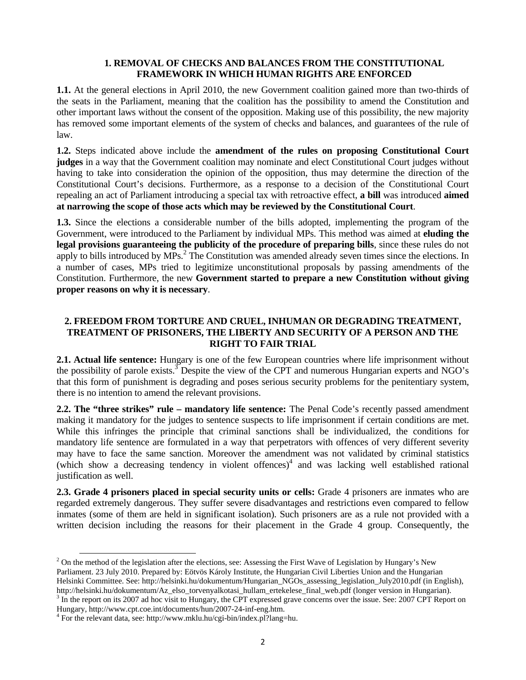#### **1. REMOVAL OF CHECKS AND BALANCES FROM THE CONSTITUTIONAL FRAMEWORK IN WHICH HUMAN RIGHTS ARE ENFORCED**

**1.1.** At the general elections in April 2010, the new Government coalition gained more than two-thirds of the seats in the Parliament, meaning that the coalition has the possibility to amend the Constitution and other important laws without the consent of the opposition. Making use of this possibility, the new majority has removed some important elements of the system of checks and balances, and guarantees of the rule of law.

**1.2.** Steps indicated above include the **amendment of the rules on proposing Constitutional Court judges** in a way that the Government coalition may nominate and elect Constitutional Court judges without having to take into consideration the opinion of the opposition, thus may determine the direction of the Constitutional Court's decisions. Furthermore, as a response to a decision of the Constitutional Court repealing an act of Parliament introducing a special tax with retroactive effect, **a bill** was introduced **aimed at narrowing the scope of those acts which may be reviewed by the Constitutional Court**.

**1.3.** Since the elections a considerable number of the bills adopted, implementing the program of the Government, were introduced to the Parliament by individual MPs. This method was aimed at **eluding the legal provisions guaranteeing the publicity of the procedure of preparing bills**, since these rules do not apply to bills introduced by MPs.<sup>2</sup> The Constitution was amended already seven times since the elections. In a number of cases, MPs tried to legitimize unconstitutional proposals by passing amendments of the Constitution. Furthermore, the new **Government started to prepare a new Constitution without giving proper reasons on why it is necessary**.

### **2. FREEDOM FROM TORTURE AND CRUEL, INHUMAN OR DEGRADING TREATMENT, TREATMENT OF PRISONERS, THE LIBERTY AND SECURITY OF A PERSON AND THE RIGHT TO FAIR TRIAL**

**2.1. Actual life sentence:** Hungary is one of the few European countries where life imprisonment without the possibility of parole exists.<sup>3</sup> Despite the view of the CPT and numerous Hungarian experts and NGO's that this form of punishment is degrading and poses serious security problems for the penitentiary system, there is no intention to amend the relevant provisions.

**2.2. The "three strikes" rule – mandatory life sentence:** The Penal Code's recently passed amendment making it mandatory for the judges to sentence suspects to life imprisonment if certain conditions are met. While this infringes the principle that criminal sanctions shall be individualized, the conditions for mandatory life sentence are formulated in a way that perpetrators with offences of very different severity may have to face the same sanction. Moreover the amendment was not validated by criminal statistics (which show a decreasing tendency in violent offences) $4$  and was lacking well established rational justification as well.

**2.3. Grade 4 prisoners placed in special security units or cells:** Grade 4 prisoners are inmates who are regarded extremely dangerous. They suffer severe disadvantages and restrictions even compared to fellow inmates (some of them are held in significant isolation). Such prisoners are as a rule not provided with a written decision including the reasons for their placement in the Grade 4 group. Consequently, the

<sup>&</sup>lt;sup>2</sup> On the method of the legislation after the elections, see: Assessing the First Wave of Legislation by Hungary's New Parliament. 23 July 2010. Prepared by: Eötvös Károly Institute, the Hungarian Civil Liberties Union and the Hungarian Helsinki Committee. See: http://helsinki.hu/dokumentum/Hungarian\_NGOs\_assessing\_legislation\_July2010.pdf (in English), http://helsinki.hu/dokumentum/Az\_elso\_torvenyalkotasi\_hullam\_ertekelese\_final\_web.pdf (longer version in Hungarian). 3

 $3$  In the report on its 2007 ad hoc visit to Hungary, the CPT expressed grave concerns over the issue. See: 2007 CPT Report on Hungary, http://www.cpt.coe.int/documents/hun/2007-24-inf-eng.htm.

<sup>4</sup> For the relevant data, see: http://www.mklu.hu/cgi-bin/index.pl?lang=hu.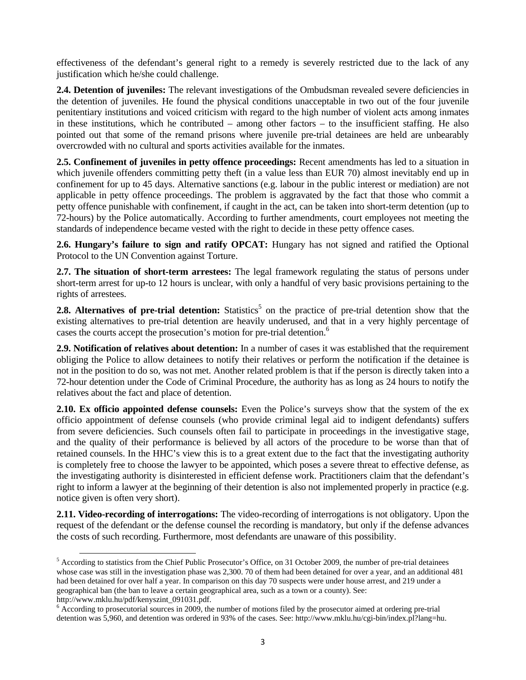effectiveness of the defendant's general right to a remedy is severely restricted due to the lack of any justification which he/she could challenge.

**2.4. Detention of juveniles:** The relevant investigations of the Ombudsman revealed severe deficiencies in the detention of juveniles. He found the physical conditions unacceptable in two out of the four juvenile penitentiary institutions and voiced criticism with regard to the high number of violent acts among inmates in these institutions, which he contributed – among other factors – to the insufficient staffing. He also pointed out that some of the remand prisons where juvenile pre-trial detainees are held are unbearably overcrowded with no cultural and sports activities available for the inmates.

**2.5. Confinement of juveniles in petty offence proceedings:** Recent amendments has led to a situation in which juvenile offenders committing petty theft (in a value less than EUR 70) almost inevitably end up in confinement for up to 45 days. Alternative sanctions (e.g. labour in the public interest or mediation) are not applicable in petty offence proceedings. The problem is aggravated by the fact that those who commit a petty offence punishable with confinement, if caught in the act, can be taken into short-term detention (up to 72-hours) by the Police automatically. According to further amendments, court employees not meeting the standards of independence became vested with the right to decide in these petty offence cases.

**2.6. Hungary's failure to sign and ratify OPCAT:** Hungary has not signed and ratified the Optional Protocol to the UN Convention against Torture.

**2.7. The situation of short-term arrestees:** The legal framework regulating the status of persons under short-term arrest for up-to 12 hours is unclear, with only a handful of very basic provisions pertaining to the rights of arrestees.

**2.8. Alternatives of pre-trial detention:** Statistics<sup>5</sup> on the practice of pre-trial detention show that the existing alternatives to pre-trial detention are heavily underused, and that in a very highly percentage of cases the courts accept the prosecution's motion for pre-trial detention.<sup>6</sup>

**2.9. Notification of relatives about detention:** In a number of cases it was established that the requirement obliging the Police to allow detainees to notify their relatives or perform the notification if the detainee is not in the position to do so, was not met. Another related problem is that if the person is directly taken into a 72-hour detention under the Code of Criminal Procedure, the authority has as long as 24 hours to notify the relatives about the fact and place of detention.

**2.10. Ex officio appointed defense counsels:** Even the Police's surveys show that the system of the ex officio appointment of defense counsels (who provide criminal legal aid to indigent defendants) suffers from severe deficiencies. Such counsels often fail to participate in proceedings in the investigative stage, and the quality of their performance is believed by all actors of the procedure to be worse than that of retained counsels. In the HHC's view this is to a great extent due to the fact that the investigating authority is completely free to choose the lawyer to be appointed, which poses a severe threat to effective defense, as the investigating authority is disinterested in efficient defense work. Practitioners claim that the defendant's right to inform a lawyer at the beginning of their detention is also not implemented properly in practice (e.g. notice given is often very short).

**2.11. Video-recording of interrogations:** The video-recording of interrogations is not obligatory. Upon the request of the defendant or the defense counsel the recording is mandatory, but only if the defense advances the costs of such recording. Furthermore, most defendants are unaware of this possibility.

http://www.mklu.hu/pdf/kenyszint\_091031.pdf.

<sup>&</sup>lt;sup>5</sup> According to statistics from the Chief Public Prosecutor's Office, on 31 October 2009, the number of pre-trial detainees whose case was still in the investigation phase was 2,300. 70 of them had been detained for over a year, and an additional 481 had been detained for over half a year. In comparison on this day 70 suspects were under house arrest, and 219 under a geographical ban (the ban to leave a certain geographical area, such as a town or a county). See:

 $6$  According to prosecutorial sources in 2009, the number of motions filed by the prosecutor aimed at ordering pre-trial detention was 5,960, and detention was ordered in 93% of the cases. See: http://www.mklu.hu/cgi-bin/index.pl?lang=hu.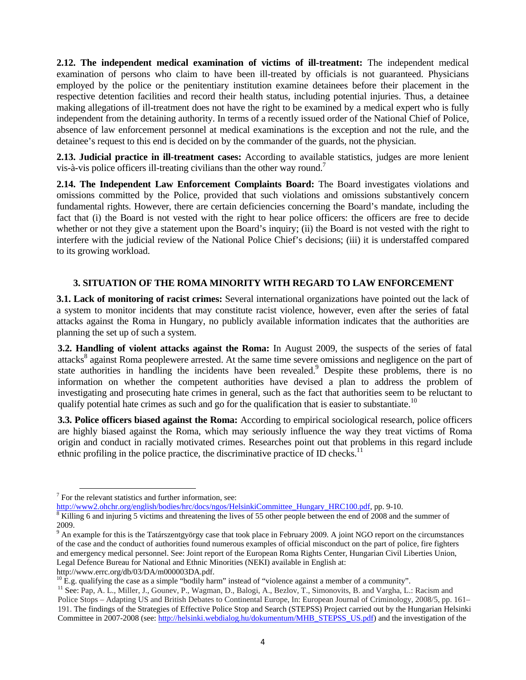**2.12. The independent medical examination of victims of ill-treatment:** The independent medical examination of persons who claim to have been ill-treated by officials is not guaranteed. Physicians employed by the police or the penitentiary institution examine detainees before their placement in the respective detention facilities and record their health status, including potential injuries. Thus, a detainee making allegations of ill-treatment does not have the right to be examined by a medical expert who is fully independent from the detaining authority. In terms of a recently issued order of the National Chief of Police, absence of law enforcement personnel at medical examinations is the exception and not the rule, and the detainee's request to this end is decided on by the commander of the guards, not the physician.

**2.13. Judicial practice in ill-treatment cases:** According to available statistics, judges are more lenient vis-à-vis police officers ill-treating civilians than the other way round.<sup>7</sup>

**2.14. The Independent Law Enforcement Complaints Board:** The Board investigates violations and omissions committed by the Police, provided that such violations and omissions substantively concern fundamental rights. However, there are certain deficiencies concerning the Board's mandate, including the fact that (i) the Board is not vested with the right to hear police officers: the officers are free to decide whether or not they give a statement upon the Board's inquiry; (ii) the Board is not vested with the right to interfere with the judicial review of the National Police Chief's decisions; (iii) it is understaffed compared to its growing workload.

## **3. SITUATION OF THE ROMA MINORITY WITH REGARD TO LAW ENFORCEMENT**

**3.1. Lack of monitoring of racist crimes:** Several international organizations have pointed out the lack of a system to monitor incidents that may constitute racist violence, however, even after the series of fatal attacks against the Roma in Hungary, no publicly available information indicates that the authorities are planning the set up of such a system.

**3.2. Handling of violent attacks against the Roma:** In August 2009, the suspects of the series of fatal attacks<sup>8</sup> against Roma peoplewere arrested. At the same time severe omissions and negligence on the part of state authorities in handling the incidents have been revealed.<sup>9</sup> Despite these problems, there is no information on whether the competent authorities have devised a plan to address the problem of investigating and prosecuting hate crimes in general, such as the fact that authorities seem to be reluctant to qualify potential hate crimes as such and go for the qualification that is easier to substantiate.<sup>10</sup>

**3.3. Police officers biased against the Roma:** According to empirical sociological research, police officers are highly biased against the Roma, which may seriously influence the way they treat victims of Roma origin and conduct in racially motivated crimes. Researches point out that problems in this regard include ethnic profiling in the police practice, the discriminative practice of ID checks.<sup>11</sup>

 <sup>7</sup> For the relevant statistics and further information, see:

http://www2.ohchr.org/english/bodies/hrc/docs/ngos/HelsinkiCommittee\_Hungary\_HRC100.pdf, pp. 9-10.

Killing 6 and injuring 5 victims and threatening the lives of 55 other people between the end of 2008 and the summer of 2009.

<sup>&</sup>lt;sup>9</sup> An example for this is the Tatárszentgyörgy case that took place in February 2009. A joint NGO report on the circumstances of the case and the conduct of authorities found numerous examples of official misconduct on the part of police, fire fighters and emergency medical personnel. See: Joint report of the European Roma Rights Center, Hungarian Civil Liberties Union, Legal Defence Bureau for National and Ethnic Minorities (NEKI) available in English at:

http://www.errc.org/db/03/DA/m000003DA.pdf.

 $10 \text{ E}$ .g. qualifying the case as a simple "bodily harm" instead of "violence against a member of a community".

<sup>&</sup>lt;sup>11</sup> See: Pap, A. L., Miller, J., Gounev, P., Wagman, D., Balogi, A., Bezlov, T., Simonovits, B. and Vargha, L.: Racism and Police Stops – Adapting US and British Debates to Continental Europe, In: European Journal of Criminology, 2008/5, pp. 161– 191. The findings of the Strategies of Effective Police Stop and Search (STEPSS) Project carried out by the Hungarian Helsinki Committee in 2007-2008 (see: http://helsinki.webdialog.hu/dokumentum/MHB\_STEPSS\_US.pdf) and the investigation of the